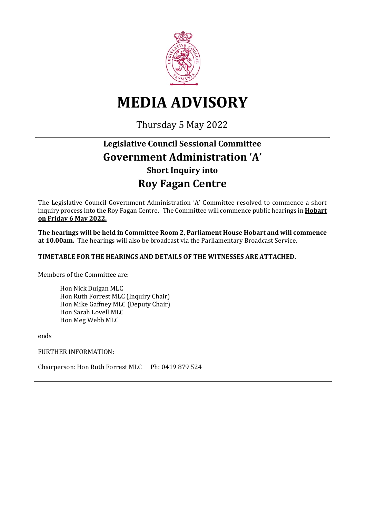

# **MEDIA ADVISORY**

Thursday 5 May 2022

## **Legislative Council Sessional Committee Government Administration 'A' Short Inquiry into Roy Fagan Centre**

The Legislative Council Government Administration 'A' Committee resolved to commence a short inquiry process into the Roy Fagan Centre. The Committee will commence public hearings in **Hobart on Friday 6 May 2022.**

**The hearings will be held in Committee Room 2, Parliament House Hobart and will commence at 10.00am.** The hearings will also be broadcast via the Parliamentary Broadcast Service.

#### **TIMETABLE FOR THE HEARINGS AND DETAILS OF THE WITNESSES ARE ATTACHED.**

Members of the Committee are:

Hon Nick Duigan MLC Hon Ruth Forrest MLC (Inquiry Chair) Hon Mike Gaffney MLC (Deputy Chair) Hon Sarah Lovell MLC Hon Meg Webb MLC

ends

FURTHER INFORMATION:

Chairperson: Hon Ruth Forrest MLC Ph: 0419 879 524